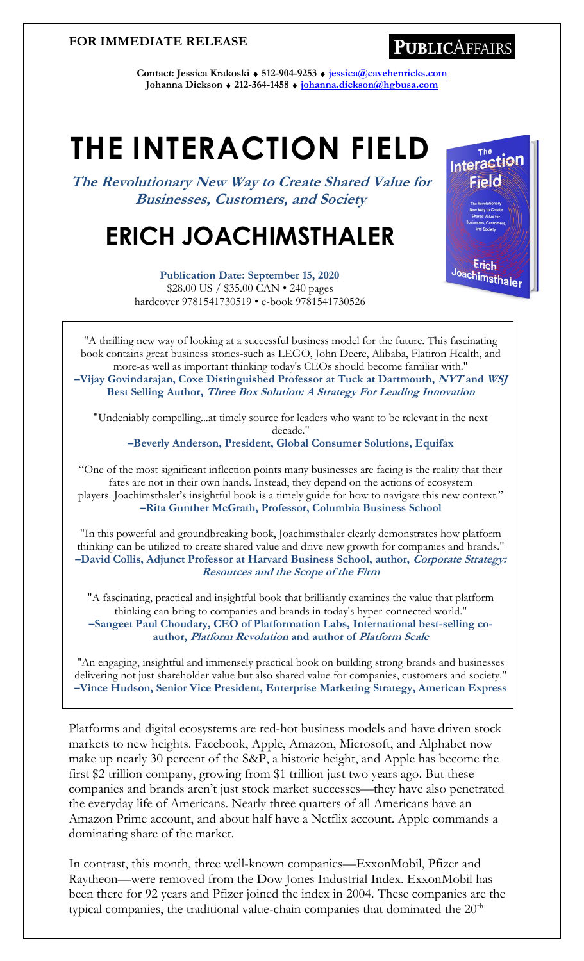#### **FOR IMMEDIATE RELEASE**

### **PUBLICAFFAIRS**

**Contact: Jessica Krakoski 512-904-9253 [jessica@cavehenricks.com](mailto:jessica@cavehenricks.com) Johanna Dickson 212-364-1458 [johanna.](mailto:johanna)dickson@hgbusa.com**

# **THE INTERACTION FIELD**

**The Revolutionary New Way to Create Shared Value for Businesses, Customers, and Society**

## **ERICH JOACHIMSTHALER**

**Publication Date: September 15, 2020** \$28.00 US / \$35.00 CAN • 240 pages hardcover 9781541730519 • e-book 9781541730526



"A thrilling new way of looking at a successful business model for the future. This fascinating book contains great business stories-such as LEGO, John Deere, Alibaba, Flatiron Health, and more-as well as important thinking today's CEOs should become familiar with."

**–Vijay Govindarajan, Coxe Distinguished Professor at Tuck at Dartmouth, NYT and WSJ Best Selling Author, Three Box Solution: A Strategy For Leading Innovation**

"Undeniably compelling...at timely source for leaders who want to be relevant in the next decade."

**–Beverly Anderson, President, Global Consumer Solutions, Equifax**

"One of the most significant inflection points many businesses are facing is the reality that their fates are not in their own hands. Instead, they depend on the actions of ecosystem players. Joachimsthaler's insightful book is a timely guide for how to navigate this new context." **–Rita Gunther McGrath, Professor, Columbia Business School**

"In this powerful and groundbreaking book, Joachimsthaler clearly demonstrates how platform thinking can be utilized to create shared value and drive new growth for companies and brands." **–David Collis, Adjunct Professor at Harvard Business School, author, Corporate Strategy: Resources and the Scope of the Firm**

"A fascinating, practical and insightful book that brilliantly examines the value that platform thinking can bring to companies and brands in today's hyper-connected world." **–Sangeet Paul Choudary, CEO of Platformation Labs, International best-selling coauthor, Platform Revolution and author of Platform Scale**

"An engaging, insightful and immensely practical book on building strong brands and businesses delivering not just shareholder value but also shared value for companies, customers and society." **–Vince Hudson, Senior Vice President, Enterprise Marketing Strategy, American Express**

Platforms and digital ecosystems are red-hot business models and have driven stock markets to new heights. Facebook, Apple, Amazon, Microsoft, and Alphabet now make up nearly 30 percent of the S&P, a historic height, and Apple has become the first \$2 trillion company, growing from \$1 trillion just two years ago. But these companies and brands aren't just stock market successes—they have also penetrated the everyday life of Americans. Nearly three quarters of all Americans have an Amazon Prime account, and about half have a Netflix account. Apple commands a dominating share of the market.

In contrast, this month, three well-known companies—ExxonMobil, Pfizer and Raytheon—were removed from the Dow Jones Industrial Index. ExxonMobil has been there for 92 years and Pfizer joined the index in 2004. These companies are the typical companies, the traditional value-chain companies that dominated the  $20<sup>th</sup>$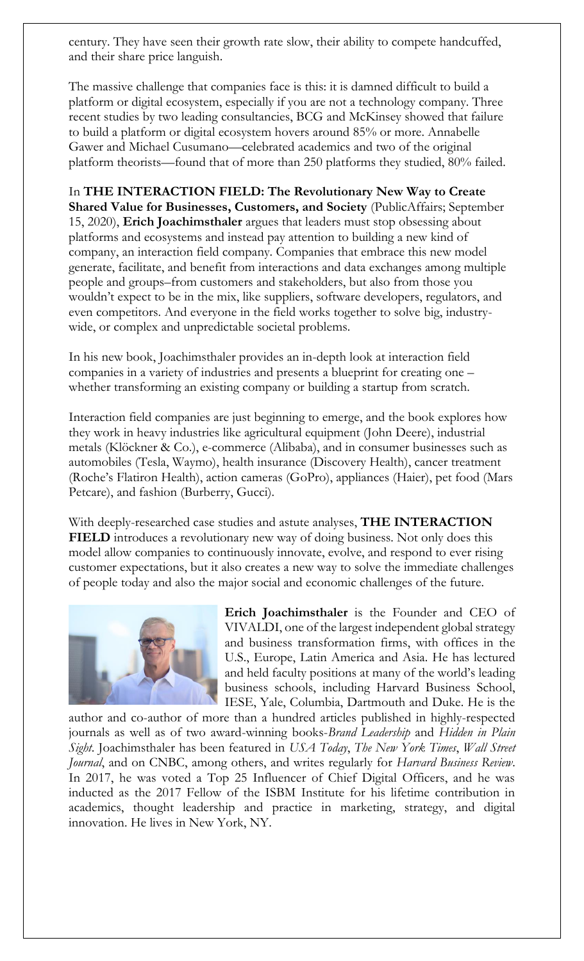century. They have seen their growth rate slow, their ability to compete handcuffed, and their share price languish.

The massive challenge that companies face is this: it is damned difficult to build a platform or digital ecosystem, especially if you are not a technology company. Three recent studies by two leading consultancies, BCG and McKinsey showed that failure to build a platform or digital ecosystem hovers around 85% or more. Annabelle Gawer and Michael Cusumano—celebrated academics and two of the original platform theorists—found that of more than 250 platforms they studied, 80% failed.

In **THE INTERACTION FIELD: The Revolutionary New Way to Create Shared Value for Businesses, Customers, and Society** (PublicAffairs; September 15, 2020), **Erich Joachimsthaler** argues that leaders must stop obsessing about platforms and ecosystems and instead pay attention to building a new kind of company, an interaction field company. Companies that embrace this new model generate, facilitate, and benefit from interactions and data exchanges among multiple people and groups–from customers and stakeholders, but also from those you wouldn't expect to be in the mix, like suppliers, software developers, regulators, and even competitors. And everyone in the field works together to solve big, industrywide, or complex and unpredictable societal problems.

In his new book, Joachimsthaler provides an in-depth look at interaction field companies in a variety of industries and presents a blueprint for creating one – whether transforming an existing company or building a startup from scratch.

Interaction field companies are just beginning to emerge, and the book explores how they work in heavy industries like agricultural equipment (John Deere), industrial metals (Klöckner & Co.), e-commerce (Alibaba), and in consumer businesses such as automobiles (Tesla, Waymo), health insurance (Discovery Health), cancer treatment (Roche's Flatiron Health), action cameras (GoPro), appliances (Haier), pet food (Mars Petcare), and fashion (Burberry, Gucci).

With deeply-researched case studies and astute analyses, **THE INTERACTION**  FIELD introduces a revolutionary new way of doing business. Not only does this model allow companies to continuously innovate, evolve, and respond to ever rising customer expectations, but it also creates a new way to solve the immediate challenges of people today and also the major social and economic challenges of the future.



**Erich Joachimsthaler** is the Founder and CEO of VIVALDI, one of the largest independent global strategy and business transformation firms, with offices in the U.S., Europe, Latin America and Asia. He has lectured and held faculty positions at many of the world's leading business schools, including Harvard Business School, IESE, Yale, Columbia, Dartmouth and Duke. He is the

author and co-author of more than a hundred articles published in highly-respected journals as well as of two award-winning books-*Brand Leadership* and *Hidden in Plain Sight*. Joachimsthaler has been featured in *USA Today*, *The New York Times*, *Wall Street Journal*, and on CNBC, among others, and writes regularly for *Harvard Business Review*. In 2017, he was voted a Top 25 Influencer of Chief Digital Officers, and he was inducted as the 2017 Fellow of the ISBM Institute for his lifetime contribution in academics, thought leadership and practice in marketing, strategy, and digital innovation. He lives in New York, NY.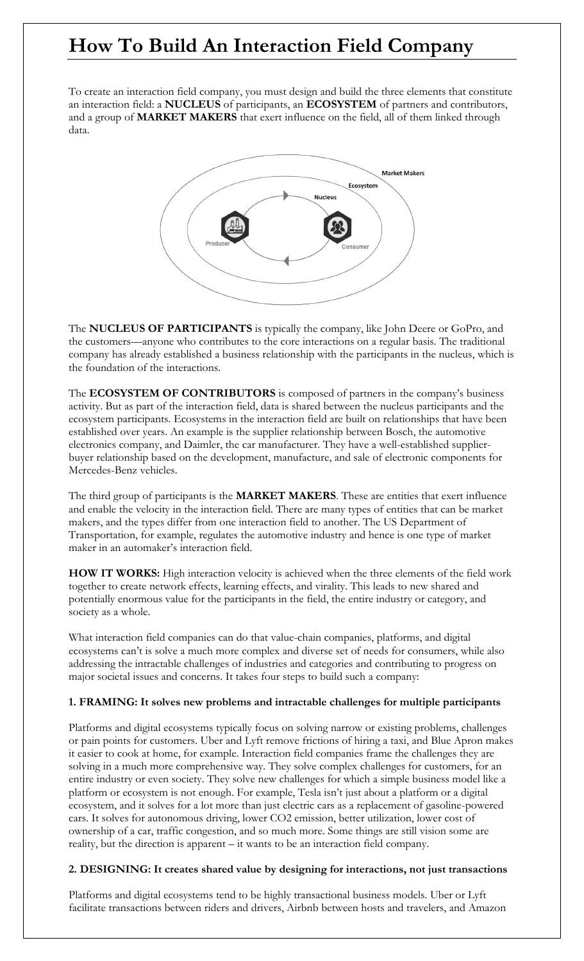## **How To Build An Interaction Field Company**

To create an interaction field company, you must design and build the three elements that constitute an interaction field: a **NUCLEUS** of participants, an **ECOSYSTEM** of partners and contributors, and a group of **MARKET MAKERS** that exert influence on the field, all of them linked through data.



The **NUCLEUS OF PARTICIPANTS** is typically the company, like John Deere or GoPro, and the customers—anyone who contributes to the core interactions on a regular basis. The traditional company has already established a business relationship with the participants in the nucleus, which is the foundation of the interactions.

The **ECOSYSTEM OF CONTRIBUTORS** is composed of partners in the company's business activity. But as part of the interaction field, data is shared between the nucleus participants and the ecosystem participants. Ecosystems in the interaction field are built on relationships that have been established over years. An example is the supplier relationship between Bosch, the automotive electronics company, and Daimler, the car manufacturer. They have a well-established supplierbuyer relationship based on the development, manufacture, and sale of electronic components for Mercedes-Benz vehicles.

The third group of participants is the **MARKET MAKERS**. These are entities that exert influence and enable the velocity in the interaction field. There are many types of entities that can be market makers, and the types differ from one interaction field to another. The US Department of Transportation, for example, regulates the automotive industry and hence is one type of market maker in an automaker's interaction field.

**HOW IT WORKS:** High interaction velocity is achieved when the three elements of the field work together to create network effects, learning effects, and virality. This leads to new shared and potentially enormous value for the participants in the field, the entire industry or category, and society as a whole.

What interaction field companies can do that value-chain companies, platforms, and digital ecosystems can't is solve a much more complex and diverse set of needs for consumers, while also addressing the intractable challenges of industries and categories and contributing to progress on major societal issues and concerns. It takes four steps to build such a company:

#### **1. FRAMING: It solves new problems and intractable challenges for multiple participants**

Platforms and digital ecosystems typically focus on solving narrow or existing problems, challenges or pain points for customers. Uber and Lyft remove frictions of hiring a taxi, and Blue Apron makes it easier to cook at home, for example. Interaction field companies frame the challenges they are solving in a much more comprehensive way. They solve complex challenges for customers, for an entire industry or even society. They solve new challenges for which a simple business model like a platform or ecosystem is not enough. For example, Tesla isn't just about a platform or a digital ecosystem, and it solves for a lot more than just electric cars as a replacement of gasoline-powered cars. It solves for autonomous driving, lower CO2 emission, better utilization, lower cost of ownership of a car, traffic congestion, and so much more. Some things are still vision some are reality, but the direction is apparent – it wants to be an interaction field company.

#### **2. DESIGNING: It creates shared value by designing for interactions, not just transactions**

Platforms and digital ecosystems tend to be highly transactional business models. Uber or Lyft facilitate transactions between riders and drivers, Airbnb between hosts and travelers, and Amazon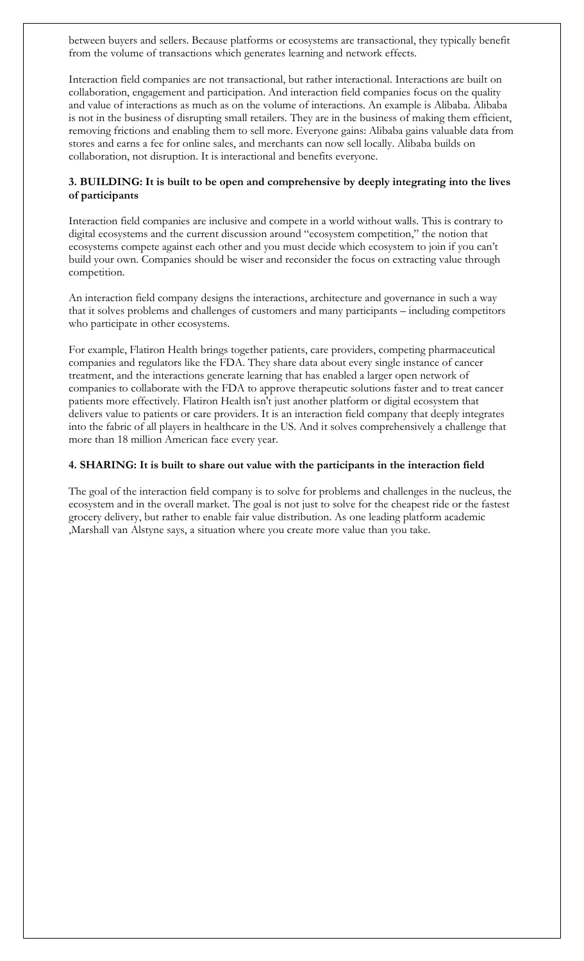between buyers and sellers. Because platforms or ecosystems are transactional, they typically benefit from the volume of transactions which generates learning and network effects.

Interaction field companies are not transactional, but rather interactional. Interactions are built on collaboration, engagement and participation. And interaction field companies focus on the quality and value of interactions as much as on the volume of interactions. An example is Alibaba. Alibaba is not in the business of disrupting small retailers. They are in the business of making them efficient, removing frictions and enabling them to sell more. Everyone gains: Alibaba gains valuable data from stores and earns a fee for online sales, and merchants can now sell locally. Alibaba builds on collaboration, not disruption. It is interactional and benefits everyone.

#### **3. BUILDING: It is built to be open and comprehensive by deeply integrating into the lives of participants**

Interaction field companies are inclusive and compete in a world without walls. This is contrary to digital ecosystems and the current discussion around "ecosystem competition," the notion that ecosystems compete against each other and you must decide which ecosystem to join if you can't build your own. Companies should be wiser and reconsider the focus on extracting value through competition.

An interaction field company designs the interactions, architecture and governance in such a way that it solves problems and challenges of customers and many participants – including competitors who participate in other ecosystems.

For example, Flatiron Health brings together patients, care providers, competing pharmaceutical companies and regulators like the FDA. They share data about every single instance of cancer treatment, and the interactions generate learning that has enabled a larger open network of companies to collaborate with the FDA to approve therapeutic solutions faster and to treat cancer patients more effectively. Flatiron Health isn't just another platform or digital ecosystem that delivers value to patients or care providers. It is an interaction field company that deeply integrates into the fabric of all players in healthcare in the US. And it solves comprehensively a challenge that more than 18 million American face every year.

#### **4. SHARING: It is built to share out value with the participants in the interaction field**

The goal of the interaction field company is to solve for problems and challenges in the nucleus, the ecosystem and in the overall market. The goal is not just to solve for the cheapest ride or the fastest grocery delivery, but rather to enable fair value distribution. As one leading platform academic ,Marshall van Alstyne says, a situation where you create more value than you take.